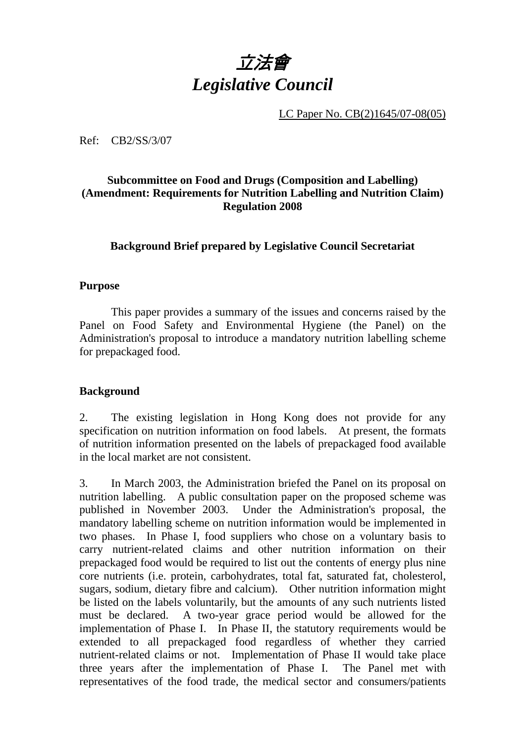

LC Paper No. CB(2)1645/07-08(05)

Ref: CB2/SS/3/07

## **Subcommittee on Food and Drugs (Composition and Labelling) (Amendment: Requirements for Nutrition Labelling and Nutrition Claim) Regulation 2008**

**Background Brief prepared by Legislative Council Secretariat** 

### **Purpose**

This paper provides a summary of the issues and concerns raised by the Panel on Food Safety and Environmental Hygiene (the Panel) on the Administration's proposal to introduce a mandatory nutrition labelling scheme for prepackaged food.

### **Background**

2. The existing legislation in Hong Kong does not provide for any specification on nutrition information on food labels. At present, the formats of nutrition information presented on the labels of prepackaged food available in the local market are not consistent.

3. In March 2003, the Administration briefed the Panel on its proposal on nutrition labelling. A public consultation paper on the proposed scheme was published in November 2003. Under the Administration's proposal, the mandatory labelling scheme on nutrition information would be implemented in two phases. In Phase I, food suppliers who chose on a voluntary basis to carry nutrient-related claims and other nutrition information on their prepackaged food would be required to list out the contents of energy plus nine core nutrients (i.e. protein, carbohydrates, total fat, saturated fat, cholesterol, sugars, sodium, dietary fibre and calcium). Other nutrition information might be listed on the labels voluntarily, but the amounts of any such nutrients listed must be declared. A two-year grace period would be allowed for the implementation of Phase I. In Phase II, the statutory requirements would be extended to all prepackaged food regardless of whether they carried nutrient-related claims or not. Implementation of Phase II would take place three years after the implementation of Phase I. The Panel met with representatives of the food trade, the medical sector and consumers/patients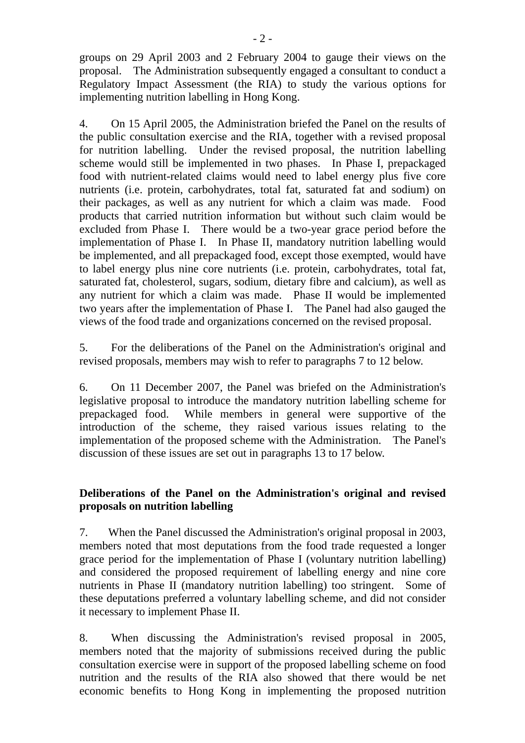groups on 29 April 2003 and 2 February 2004 to gauge their views on the proposal. The Administration subsequently engaged a consultant to conduct a Regulatory Impact Assessment (the RIA) to study the various options for implementing nutrition labelling in Hong Kong.

4. On 15 April 2005, the Administration briefed the Panel on the results of the public consultation exercise and the RIA, together with a revised proposal for nutrition labelling. Under the revised proposal, the nutrition labelling scheme would still be implemented in two phases. In Phase I, prepackaged food with nutrient-related claims would need to label energy plus five core nutrients (i.e. protein, carbohydrates, total fat, saturated fat and sodium) on their packages, as well as any nutrient for which a claim was made. Food products that carried nutrition information but without such claim would be excluded from Phase I. There would be a two-year grace period before the implementation of Phase I. In Phase II, mandatory nutrition labelling would be implemented, and all prepackaged food, except those exempted, would have to label energy plus nine core nutrients (i.e. protein, carbohydrates, total fat, saturated fat, cholesterol, sugars, sodium, dietary fibre and calcium), as well as any nutrient for which a claim was made. Phase II would be implemented two years after the implementation of Phase I. The Panel had also gauged the views of the food trade and organizations concerned on the revised proposal.

5. For the deliberations of the Panel on the Administration's original and revised proposals, members may wish to refer to paragraphs 7 to 12 below.

6. On 11 December 2007, the Panel was briefed on the Administration's legislative proposal to introduce the mandatory nutrition labelling scheme for prepackaged food. While members in general were supportive of the introduction of the scheme, they raised various issues relating to the implementation of the proposed scheme with the Administration. The Panel's discussion of these issues are set out in paragraphs 13 to 17 below.

# **Deliberations of the Panel on the Administration's original and revised proposals on nutrition labelling**

7. When the Panel discussed the Administration's original proposal in 2003, members noted that most deputations from the food trade requested a longer grace period for the implementation of Phase I (voluntary nutrition labelling) and considered the proposed requirement of labelling energy and nine core nutrients in Phase II (mandatory nutrition labelling) too stringent. Some of these deputations preferred a voluntary labelling scheme, and did not consider it necessary to implement Phase II.

8. When discussing the Administration's revised proposal in 2005, members noted that the majority of submissions received during the public consultation exercise were in support of the proposed labelling scheme on food nutrition and the results of the RIA also showed that there would be net economic benefits to Hong Kong in implementing the proposed nutrition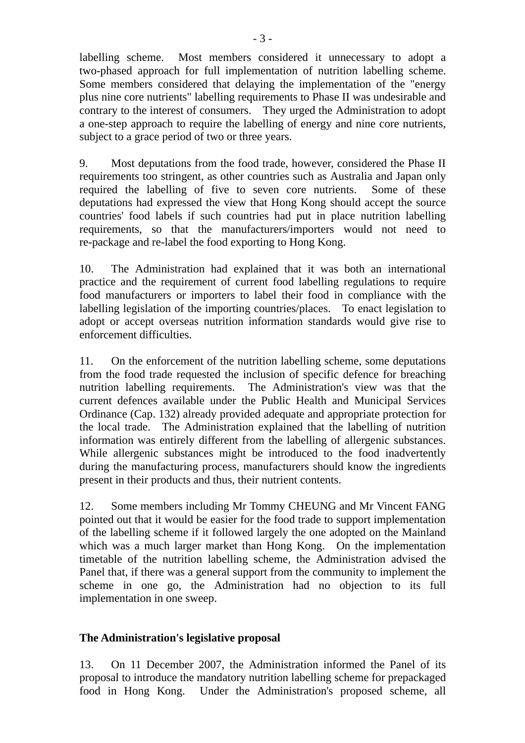labelling scheme. Most members considered it unnecessary to adopt a two-phased approach for full implementation of nutrition labelling scheme. Some members considered that delaying the implementation of the "energy plus nine core nutrients" labelling requirements to Phase II was undesirable and contrary to the interest of consumers. They urged the Administration to adopt a one-step approach to require the labelling of energy and nine core nutrients, subject to a grace period of two or three years.

9. Most deputations from the food trade, however, considered the Phase II requirements too stringent, as other countries such as Australia and Japan only required the labelling of five to seven core nutrients. Some of these deputations had expressed the view that Hong Kong should accept the source countries' food labels if such countries had put in place nutrition labelling requirements, so that the manufacturers/importers would not need to re-package and re-label the food exporting to Hong Kong.

10. The Administration had explained that it was both an international practice and the requirement of current food labelling regulations to require food manufacturers or importers to label their food in compliance with the labelling legislation of the importing countries/places. To enact legislation to adopt or accept overseas nutrition information standards would give rise to enforcement difficulties.

11. On the enforcement of the nutrition labelling scheme, some deputations from the food trade requested the inclusion of specific defence for breaching nutrition labelling requirements. The Administration's view was that the current defences available under the Public Health and Municipal Services Ordinance (Cap. 132) already provided adequate and appropriate protection for the local trade. The Administration explained that the labelling of nutrition information was entirely different from the labelling of allergenic substances. While allergenic substances might be introduced to the food inadvertently during the manufacturing process, manufacturers should know the ingredients present in their products and thus, their nutrient contents.

12. Some members including Mr Tommy CHEUNG and Mr Vincent FANG pointed out that it would be easier for the food trade to support implementation of the labelling scheme if it followed largely the one adopted on the Mainland which was a much larger market than Hong Kong. On the implementation timetable of the nutrition labelling scheme, the Administration advised the Panel that, if there was a general support from the community to implement the scheme in one go, the Administration had no objection to its full implementation in one sweep.

## **The Administration's legislative proposal**

13. On 11 December 2007, the Administration informed the Panel of its proposal to introduce the mandatory nutrition labelling scheme for prepackaged food in Hong Kong. Under the Administration's proposed scheme, all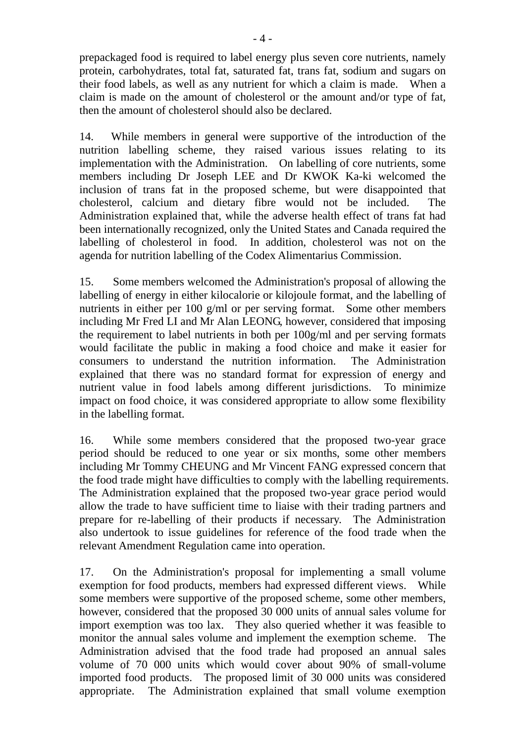prepackaged food is required to label energy plus seven core nutrients, namely protein, carbohydrates, total fat, saturated fat, trans fat, sodium and sugars on their food labels, as well as any nutrient for which a claim is made. When a claim is made on the amount of cholesterol or the amount and/or type of fat, then the amount of cholesterol should also be declared.

14. While members in general were supportive of the introduction of the nutrition labelling scheme, they raised various issues relating to its implementation with the Administration. On labelling of core nutrients, some members including Dr Joseph LEE and Dr KWOK Ka-ki welcomed the inclusion of trans fat in the proposed scheme, but were disappointed that cholesterol, calcium and dietary fibre would not be included. The Administration explained that, while the adverse health effect of trans fat had been internationally recognized, only the United States and Canada required the labelling of cholesterol in food. In addition, cholesterol was not on the agenda for nutrition labelling of the Codex Alimentarius Commission.

15. Some members welcomed the Administration's proposal of allowing the labelling of energy in either kilocalorie or kilojoule format, and the labelling of nutrients in either per 100 g/ml or per serving format. Some other members including Mr Fred LI and Mr Alan LEONG, however, considered that imposing the requirement to label nutrients in both per 100g/ml and per serving formats would facilitate the public in making a food choice and make it easier for consumers to understand the nutrition information. The Administration explained that there was no standard format for expression of energy and nutrient value in food labels among different jurisdictions. To minimize impact on food choice, it was considered appropriate to allow some flexibility in the labelling format.

16. While some members considered that the proposed two-year grace period should be reduced to one year or six months, some other members including Mr Tommy CHEUNG and Mr Vincent FANG expressed concern that the food trade might have difficulties to comply with the labelling requirements. The Administration explained that the proposed two-year grace period would allow the trade to have sufficient time to liaise with their trading partners and prepare for re-labelling of their products if necessary. The Administration also undertook to issue guidelines for reference of the food trade when the relevant Amendment Regulation came into operation.

17. On the Administration's proposal for implementing a small volume exemption for food products, members had expressed different views. While some members were supportive of the proposed scheme, some other members, however, considered that the proposed 30 000 units of annual sales volume for import exemption was too lax. They also queried whether it was feasible to monitor the annual sales volume and implement the exemption scheme. The Administration advised that the food trade had proposed an annual sales volume of 70 000 units which would cover about 90% of small-volume imported food products. The proposed limit of 30 000 units was considered appropriate. The Administration explained that small volume exemption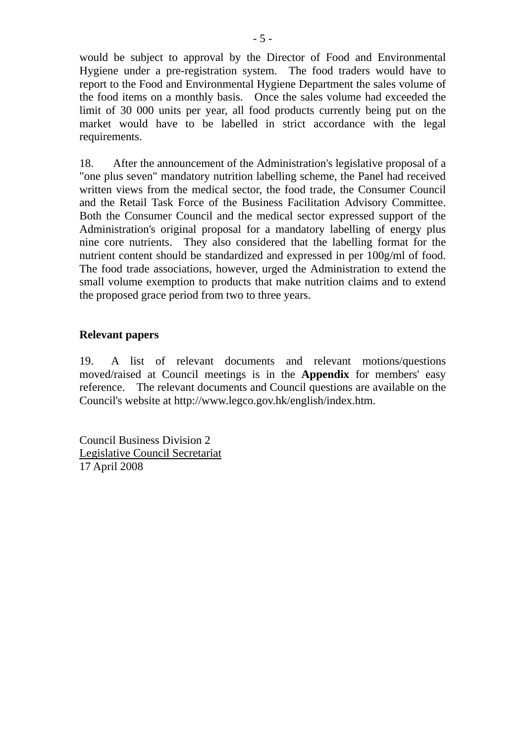would be subject to approval by the Director of Food and Environmental Hygiene under a pre-registration system. The food traders would have to report to the Food and Environmental Hygiene Department the sales volume of the food items on a monthly basis. Once the sales volume had exceeded the limit of 30 000 units per year, all food products currently being put on the market would have to be labelled in strict accordance with the legal requirements.

18. After the announcement of the Administration's legislative proposal of a "one plus seven" mandatory nutrition labelling scheme, the Panel had received written views from the medical sector, the food trade, the Consumer Council and the Retail Task Force of the Business Facilitation Advisory Committee. Both the Consumer Council and the medical sector expressed support of the Administration's original proposal for a mandatory labelling of energy plus nine core nutrients. They also considered that the labelling format for the nutrient content should be standardized and expressed in per 100g/ml of food. The food trade associations, however, urged the Administration to extend the small volume exemption to products that make nutrition claims and to extend the proposed grace period from two to three years.

## **Relevant papers**

19. A list of relevant documents and relevant motions/questions moved/raised at Council meetings is in the **Appendix** for members' easy reference. The relevant documents and Council questions are available on the Council's website at http://www.legco.gov.hk/english/index.htm.

Council Business Division 2 Legislative Council Secretariat 17 April 2008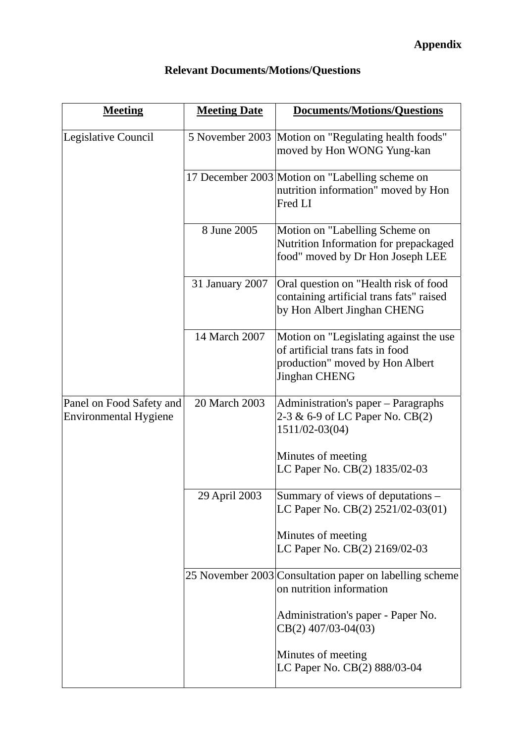| <b>Meeting</b>                                           | <b>Meeting Date</b> | <b>Documents/Motions/Questions</b>                                                                                                    |
|----------------------------------------------------------|---------------------|---------------------------------------------------------------------------------------------------------------------------------------|
| Legislative Council                                      |                     | 5 November 2003 Motion on "Regulating health foods"<br>moved by Hon WONG Yung-kan                                                     |
|                                                          |                     | 17 December 2003 Motion on "Labelling scheme on<br>nutrition information" moved by Hon<br>Fred LI                                     |
|                                                          | 8 June 2005         | Motion on "Labelling Scheme on<br>Nutrition Information for prepackaged<br>food" moved by Dr Hon Joseph LEE                           |
|                                                          | 31 January 2007     | Oral question on "Health risk of food<br>containing artificial trans fats" raised<br>by Hon Albert Jinghan CHENG                      |
|                                                          | 14 March 2007       | Motion on "Legislating against the use<br>of artificial trans fats in food<br>production" moved by Hon Albert<br><b>Jinghan CHENG</b> |
| Panel on Food Safety and<br><b>Environmental Hygiene</b> | 20 March 2003       | Administration's paper - Paragraphs<br>2-3 & 6-9 of LC Paper No. CB(2)<br>1511/02-03(04)                                              |
|                                                          |                     | Minutes of meeting<br>LC Paper No. CB(2) 1835/02-03                                                                                   |
|                                                          | 29 April 2003       | Summary of views of deputations -<br>LC Paper No. CB(2) 2521/02-03(01)                                                                |
|                                                          |                     | Minutes of meeting<br>LC Paper No. CB(2) 2169/02-03                                                                                   |
|                                                          |                     | 25 November 2003 Consultation paper on labelling scheme<br>on nutrition information                                                   |
|                                                          |                     | Administration's paper - Paper No.<br>$CB(2)$ 407/03-04(03)                                                                           |
|                                                          |                     | Minutes of meeting<br>LC Paper No. CB(2) 888/03-04                                                                                    |

# **Relevant Documents/Motions/Questions**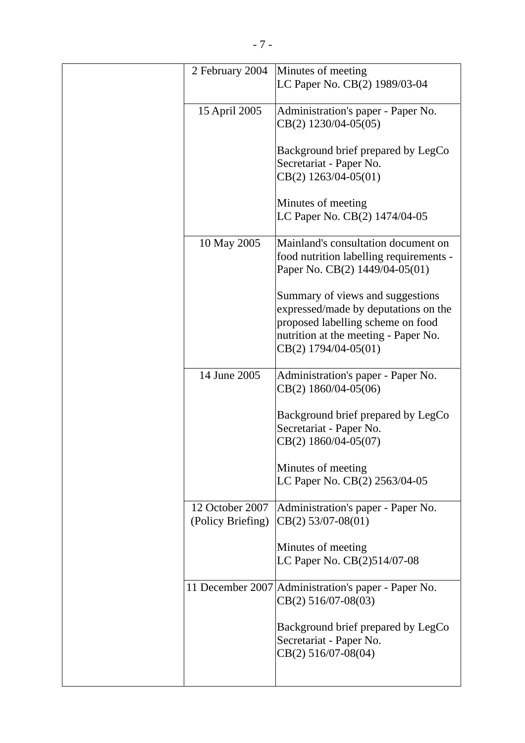| 2 February 2004   | Minutes of meeting                                  |
|-------------------|-----------------------------------------------------|
|                   | LC Paper No. CB(2) 1989/03-04                       |
| 15 April 2005     | Administration's paper - Paper No.                  |
|                   | $CB(2)$ 1230/04-05(05)                              |
|                   |                                                     |
|                   | Background brief prepared by LegCo                  |
|                   | Secretariat - Paper No.                             |
|                   | $CB(2)$ 1263/04-05(01)                              |
|                   |                                                     |
|                   | Minutes of meeting                                  |
|                   | LC Paper No. CB(2) 1474/04-05                       |
|                   |                                                     |
| 10 May 2005       | Mainland's consultation document on                 |
|                   | food nutrition labelling requirements -             |
|                   | Paper No. CB(2) 1449/04-05(01)                      |
|                   |                                                     |
|                   | Summary of views and suggestions                    |
|                   | expressed/made by deputations on the                |
|                   | proposed labelling scheme on food                   |
|                   | nutrition at the meeting - Paper No.                |
|                   | $CB(2)$ 1794/04-05(01)                              |
|                   |                                                     |
| 14 June 2005      | Administration's paper - Paper No.                  |
|                   | $CB(2)$ 1860/04-05(06)                              |
|                   |                                                     |
|                   | Background brief prepared by LegCo                  |
|                   | Secretariat - Paper No.                             |
|                   | CB(2) 1860/04-05(07)                                |
|                   |                                                     |
|                   | Minutes of meeting                                  |
|                   | LC Paper No. CB(2) 2563/04-05                       |
|                   |                                                     |
| 12 October 2007   | Administration's paper - Paper No.                  |
| (Policy Briefing) | $CB(2)$ 53/07-08(01)                                |
|                   | Minutes of meeting                                  |
|                   | LC Paper No. CB(2)514/07-08                         |
|                   |                                                     |
|                   | 11 December 2007 Administration's paper - Paper No. |
|                   | $CB(2)$ 516/07-08(03)                               |
|                   |                                                     |
|                   | Background brief prepared by LegCo                  |
|                   | Secretariat - Paper No.                             |
|                   | $CB(2) 516/07-08(04)$                               |
|                   |                                                     |
|                   |                                                     |